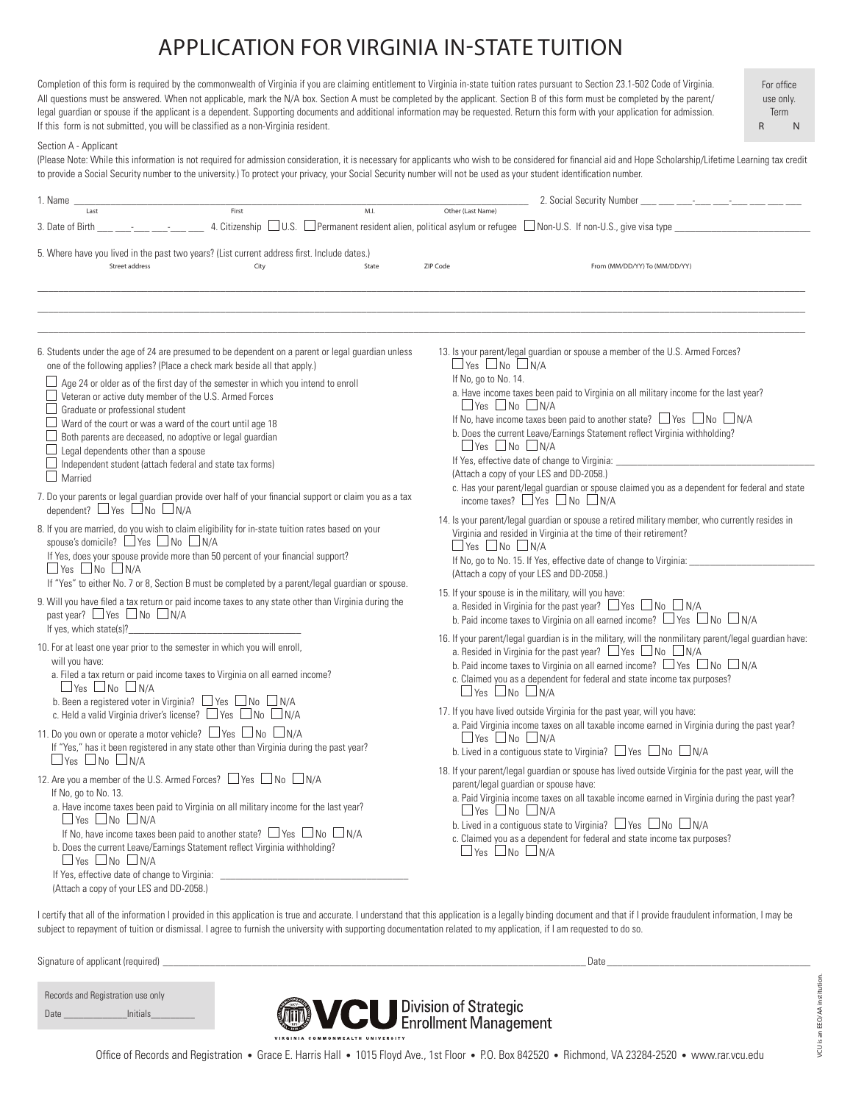## APPLICATION FOR VIRGINIA IN-STATE TUITION

Completion of this form is required by the commonwealth of Virginia if you are claiming entitlement to Virginia in-state tuition rates pursuant to Section 23.1-502 Code of Virginia. All questions must be answered. When not applicable, mark the N/A box. Section A must be completed by the applicant. Section B of this form must be completed by the parent/ legal guardian or spouse if the applicant is a dependent. Supporting documents and additional information may be requested. Return this form with your application for admission. If this form is not submitted, you will be classified as a non-Virginia resident.

For office use only. Term R N

## Section A - Applicant

(Please Note: While this information is not required for admission consideration, it is necessary for applicants who wish to be considered for financial aid and Hope Scholarship/Lifetime Learning tax credit to provide a Social Security number to the university.) To protect your privacy, your Social Security number will not be used as your student identification number.

| 1. Name                                                                                                                                                                                                                                                                                                                                                                                                                                                                                                                  | First                                                                                                                                                                                                    | M.I.                                                               | Other (Last Name)                                                                                                                                                                                                                                                                                                                                                                                                                                | 2. Social Security Number                                                                                                                                                                                                                                                                                                                                 |  |
|--------------------------------------------------------------------------------------------------------------------------------------------------------------------------------------------------------------------------------------------------------------------------------------------------------------------------------------------------------------------------------------------------------------------------------------------------------------------------------------------------------------------------|----------------------------------------------------------------------------------------------------------------------------------------------------------------------------------------------------------|--------------------------------------------------------------------|--------------------------------------------------------------------------------------------------------------------------------------------------------------------------------------------------------------------------------------------------------------------------------------------------------------------------------------------------------------------------------------------------------------------------------------------------|-----------------------------------------------------------------------------------------------------------------------------------------------------------------------------------------------------------------------------------------------------------------------------------------------------------------------------------------------------------|--|
| Last<br>3. Date of Birth                                                                                                                                                                                                                                                                                                                                                                                                                                                                                                 |                                                                                                                                                                                                          |                                                                    |                                                                                                                                                                                                                                                                                                                                                                                                                                                  | 4. Citizenship $\Box$ U.S. $\Box$ Permanent resident alien, political asylum or refugee $\Box$ Non-U.S. If non-U.S., give visa type                                                                                                                                                                                                                       |  |
| 5. Where have you lived in the past two years? (List current address first. Include dates.)<br>Street address                                                                                                                                                                                                                                                                                                                                                                                                            | City                                                                                                                                                                                                     | State                                                              | ZIP Code                                                                                                                                                                                                                                                                                                                                                                                                                                         | From (MM/DD/YY) To (MM/DD/YY)                                                                                                                                                                                                                                                                                                                             |  |
| 6. Students under the age of 24 are presumed to be dependent on a parent or legal guardian unless                                                                                                                                                                                                                                                                                                                                                                                                                        |                                                                                                                                                                                                          |                                                                    |                                                                                                                                                                                                                                                                                                                                                                                                                                                  | 13. Is your parent/legal guardian or spouse a member of the U.S. Armed Forces?                                                                                                                                                                                                                                                                            |  |
| one of the following applies? (Place a check mark beside all that apply.)<br>$\Box$ Age 24 or older as of the first day of the semester in which you intend to enroll<br>$\Box$ Veteran or active duty member of the U.S. Armed Forces<br>Graduate or professional student<br>$\Box$ Ward of the court or was a ward of the court until age 18<br>Both parents are deceased, no adoptive or legal quardian<br>Legal dependents other than a spouse<br>Independent student (attach federal and state tax forms)           |                                                                                                                                                                                                          |                                                                    | $\Box$ Yes $\Box$ No $\Box$ N/A<br>If No, go to No. 14.<br>a. Have income taxes been paid to Virginia on all military income for the last year?<br>$\Box$ Yes $\Box$ No $\Box$ N/A<br>If No, have income taxes been paid to another state? $\Box$ Yes $\Box$ No $\Box$ N/A<br>b. Does the current Leave/Earnings Statement reflect Virginia withholding?<br>$\Box$ Yes $\Box$ No $\Box$ N/A<br>If Yes, effective date of change to Virginia: ___ |                                                                                                                                                                                                                                                                                                                                                           |  |
| Married<br>7. Do your parents or legal guardian provide over half of your financial support or claim you as a tax<br>dependent? $\Box$ Yes $\Box$ No $\Box$ N/A                                                                                                                                                                                                                                                                                                                                                          |                                                                                                                                                                                                          |                                                                    |                                                                                                                                                                                                                                                                                                                                                                                                                                                  | (Attach a copy of your LES and DD-2058.)<br>c. Has your parent/legal guardian or spouse claimed you as a dependent for federal and state<br>income taxes? $\Box$ Yes $\Box$ No $\Box$ N/A                                                                                                                                                                 |  |
| 8. If you are married, do you wish to claim eligibility for in-state tuition rates based on your<br>spouse's domicile? $\Box$ Yes $\Box$ No $\Box$ N/A<br>If Yes, does your spouse provide more than 50 percent of your financial support?<br>$\Box$ Yes $\Box$ No $\Box$ N/A                                                                                                                                                                                                                                            |                                                                                                                                                                                                          |                                                                    | $\Box$ Yes $\Box$ No $\Box$ N/A                                                                                                                                                                                                                                                                                                                                                                                                                  | 14. Is your parent/legal guardian or spouse a retired military member, who currently resides in<br>Virginia and resided in Virginia at the time of their retirement?<br>If No, go to No. 15. If Yes, effective date of change to Virginia:<br>(Attach a copy of your LES and DD-2058.)                                                                    |  |
| past year? $\Box$ Yes $\Box$ No $\Box$ N/A<br>If yes, which state(s)?                                                                                                                                                                                                                                                                                                                                                                                                                                                    | If "Yes" to either No. 7 or 8, Section B must be completed by a parent/legal guardian or spouse.<br>9. Will you have filed a tax return or paid income taxes to any state other than Virginia during the |                                                                    | 15. If your spouse is in the military, will you have:<br>a. Resided in Virginia for the past year? $\Box$ Yes $\Box$ No $\Box$ N/A<br>b. Paid income taxes to Virginia on all earned income? $\Box$ Yes $\Box$ No $\Box$ N/A                                                                                                                                                                                                                     |                                                                                                                                                                                                                                                                                                                                                           |  |
| 10. For at least one year prior to the semester in which you will enroll,<br>will you have:<br>$\Box$ Yes $\Box$ No $\Box$ N/A<br>b. Been a registered voter in Virginia? $\Box$ Yes $\Box$ No $\Box$ N/A                                                                                                                                                                                                                                                                                                                | a. Filed a tax return or paid income taxes to Virginia on all earned income?                                                                                                                             |                                                                    | $\Box$ Yes $\Box$ No $\Box$ N/A                                                                                                                                                                                                                                                                                                                                                                                                                  | 16. If your parent/legal guardian is in the military, will the nonmilitary parent/legal guardian have:<br>a. Resided in Virginia for the past year? $\Box$ Yes $\Box$ No $\Box$ N/A<br>b. Paid income taxes to Virginia on all earned income? $\Box$ Yes $\Box$ No $\Box$ N/A<br>c. Claimed you as a dependent for federal and state income tax purposes? |  |
| c. Held a valid Virginia driver's license? □ Yes □ No □ N/A<br>11. Do you own or operate a motor vehicle? $\Box$ Yes $\Box$ No $\Box$ N/A<br>If "Yes," has it been registered in any state other than Virginia during the past year?<br>$\Box$ Yes $\Box$ No $\Box$ N/A                                                                                                                                                                                                                                                  |                                                                                                                                                                                                          |                                                                    | $\Box$ Yes $\Box$ No $\Box$ N/A                                                                                                                                                                                                                                                                                                                                                                                                                  | 17. If you have lived outside Virginia for the past year, will you have:<br>a. Paid Virginia income taxes on all taxable income earned in Virginia during the past year?<br>b. Lived in a contiquous state to Virginia? $\Box$ Yes $\Box$ No $\Box$ N/A                                                                                                   |  |
| 12. Are you a member of the U.S. Armed Forces? □ Yes □ No □ N/A<br>If No, go to No. 13.<br>a. Have income taxes been paid to Virginia on all military income for the last year?<br>$\Box$ Yes $\Box$ No $\Box$ N/A<br>If No, have income taxes been paid to another state? $\Box$ Yes $\Box$ No $\Box$ N/A<br>b. Does the current Leave/Earnings Statement reflect Virginia withholding?<br>$\Box$ Yes $\Box$ No $\Box$ N/A<br>If Yes, effective date of change to Virginia:<br>(Attach a copy of your LES and DD-2058.) |                                                                                                                                                                                                          | $\Box$ Yes $\Box$ No $\Box$ N/A<br>$\Box$ Yes $\Box$ No $\Box$ N/A | 18. If your parent/legal guardian or spouse has lived outside Virginia for the past year, will the<br>parent/legal guardian or spouse have:<br>a. Paid Virginia income taxes on all taxable income earned in Virginia during the past year?<br>b. Lived in a contiguous state to Virginia? $\Box$ Yes $\Box$ No $\Box$ N/A<br>c. Claimed you as a dependent for federal and state income tax purposes?                                           |                                                                                                                                                                                                                                                                                                                                                           |  |

I certify that all of the information I provided in this application is true and accurate. I understand that this application is a legally binding document and that if I provide fraudulent information, I may be subject to repayment of tuition or dismissal. I agree to furnish the university with supporting documentation related to my application, if I am requested to do so.

Signature of applicant (required) \_\_\_\_\_\_\_\_\_\_\_\_\_\_\_\_\_\_\_\_\_\_\_\_\_\_\_\_\_\_\_\_\_\_\_\_\_\_\_\_\_\_\_\_\_\_\_\_\_\_\_\_\_\_\_\_\_\_\_\_\_\_\_\_\_\_\_\_\_\_\_\_\_\_\_\_\_\_\_\_\_ Date \_\_\_\_\_\_\_\_\_\_\_\_\_\_\_\_\_\_\_\_\_\_\_\_\_\_\_\_\_\_\_\_\_\_\_\_\_\_\_

| Records and Registration use only |                 |  |
|-----------------------------------|-----------------|--|
| Date                              | <b>Initials</b> |  |



Office of Records and Registration • Grace E. Harris Hall • 1015 Floyd Ave., 1st Floor • P.O. Box 842520 • Richmond, VA 23284-2520 • www.rar.vcu.edu